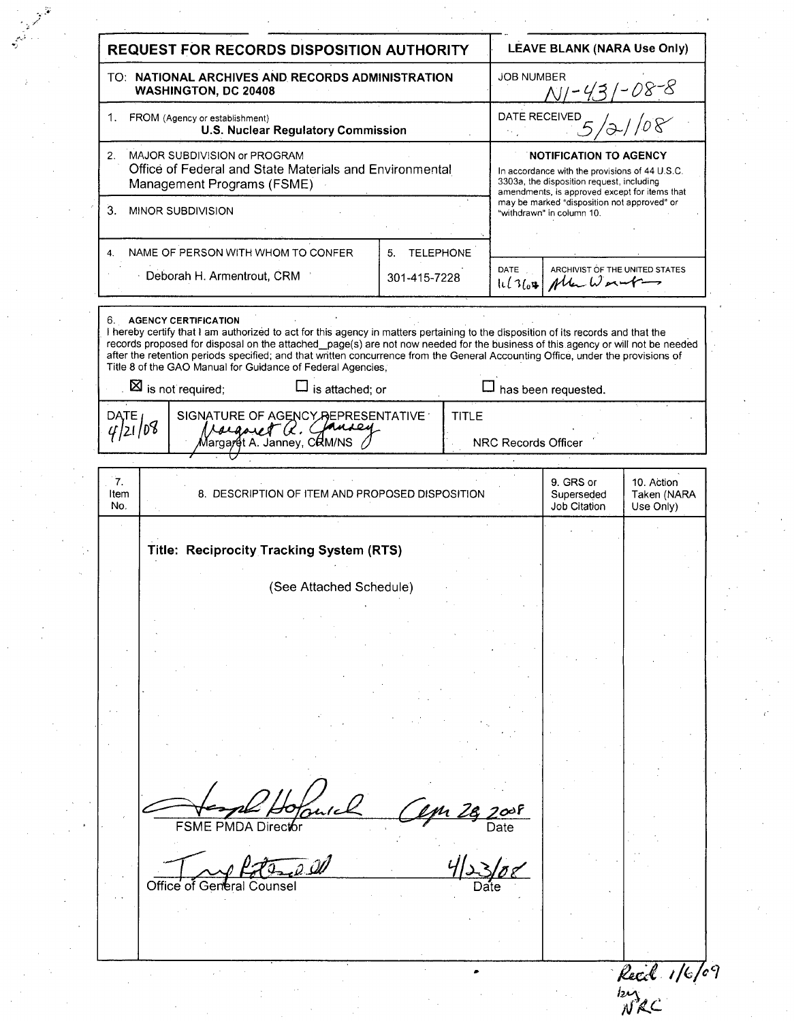| <b>REQUEST FOR RECORDS DISPOSITION AUTHORITY</b>                                |                                                                                                                                                                                                                                                                                                                                                                                                                                                                                                  |                        | LEAVE BLANK (NARA Use Only) |                                                                          |                                                                                                                                                                               |  |
|---------------------------------------------------------------------------------|--------------------------------------------------------------------------------------------------------------------------------------------------------------------------------------------------------------------------------------------------------------------------------------------------------------------------------------------------------------------------------------------------------------------------------------------------------------------------------------------------|------------------------|-----------------------------|--------------------------------------------------------------------------|-------------------------------------------------------------------------------------------------------------------------------------------------------------------------------|--|
| TO: NATIONAL ARCHIVES AND RECORDS ADMINISTRATION<br><b>WASHINGTON, DC 20408</b> |                                                                                                                                                                                                                                                                                                                                                                                                                                                                                                  |                        |                             | <b>JOB NUMBER</b><br>$N/-$                                               |                                                                                                                                                                               |  |
|                                                                                 | 1. FROM (Agency or establishment)<br><b>U.S. Nuclear Regulatory Commission</b>                                                                                                                                                                                                                                                                                                                                                                                                                   |                        |                             | DATE RECEIVED                                                            |                                                                                                                                                                               |  |
| 2 <sub>1</sub>                                                                  | MAJOR SUBDIVISION or PROGRAM<br>Office of Federal and State Materials and Environmental<br>Management Programs (FSME)                                                                                                                                                                                                                                                                                                                                                                            |                        |                             |                                                                          | <b>NOTIFICATION TO AGENCY</b><br>In accordance with the provisions of 44 U.S.C.<br>3303a, the disposition request, including<br>amendments, is approved except for items that |  |
| 3.<br>MINOR SUBDIVISION                                                         |                                                                                                                                                                                                                                                                                                                                                                                                                                                                                                  |                        |                             | may be marked "disposition not approved" or<br>"withdrawn" in column 10. |                                                                                                                                                                               |  |
| 4.                                                                              | NAME OF PERSON WITH WHOM TO CONFER                                                                                                                                                                                                                                                                                                                                                                                                                                                               | <b>TELEPHONE</b><br>5. |                             |                                                                          |                                                                                                                                                                               |  |
|                                                                                 | ⋅ Deborah H. Armentrout, CRM                                                                                                                                                                                                                                                                                                                                                                                                                                                                     | 301-415-7228           | DATE<br>11/364              | ARCHIVIST OF THE UNITED STATES<br>$M$ ka Wormbar                         |                                                                                                                                                                               |  |
|                                                                                 | 6. AGENCY CERTIFICATION<br>I hereby certify that I am authorized to act for this agency in matters pertaining to the disposition of its records and that the<br>records proposed for disposal on the attached_page(s) are not now needed for the business of this agency or will not be needed<br>after the retention periods specified; and that written concurrence from the General Accounting Office, under the provisions of<br>Title 8 of the GAO Manual for Guidance of Federal Agencies, |                        |                             |                                                                          |                                                                                                                                                                               |  |
|                                                                                 | $\Box$ is attached; or<br>$\boxtimes$ is not required;                                                                                                                                                                                                                                                                                                                                                                                                                                           |                        |                             | $\Box$ has been requested.                                               |                                                                                                                                                                               |  |
| DATE <sub>1</sub><br>4/21/08                                                    | SIGNATURE OF AGENCY REPRESENTATIVE<br><b>TITLE</b><br>Macquiet Q. Clausey<br>Margaret A. Janney, CRM/NS<br>NRC Records Officer                                                                                                                                                                                                                                                                                                                                                                   |                        |                             |                                                                          |                                                                                                                                                                               |  |
| 7.<br>Item<br>No.                                                               | 8. DESCRIPTION OF ITEM AND PROPOSED DISPOSITION                                                                                                                                                                                                                                                                                                                                                                                                                                                  |                        |                             | 9. GRS or<br>Superseded<br>Job Citation                                  | 10. Action<br>Taken (NARA<br>Use Only)                                                                                                                                        |  |
|                                                                                 | Title: Reciprocity Tracking System (RTS)                                                                                                                                                                                                                                                                                                                                                                                                                                                         |                        |                             |                                                                          |                                                                                                                                                                               |  |
|                                                                                 |                                                                                                                                                                                                                                                                                                                                                                                                                                                                                                  |                        |                             |                                                                          |                                                                                                                                                                               |  |
|                                                                                 | (See Attached Schedule)                                                                                                                                                                                                                                                                                                                                                                                                                                                                          |                        |                             |                                                                          |                                                                                                                                                                               |  |
|                                                                                 |                                                                                                                                                                                                                                                                                                                                                                                                                                                                                                  |                        |                             |                                                                          |                                                                                                                                                                               |  |
|                                                                                 |                                                                                                                                                                                                                                                                                                                                                                                                                                                                                                  |                        |                             |                                                                          |                                                                                                                                                                               |  |
|                                                                                 |                                                                                                                                                                                                                                                                                                                                                                                                                                                                                                  |                        |                             |                                                                          |                                                                                                                                                                               |  |
|                                                                                 |                                                                                                                                                                                                                                                                                                                                                                                                                                                                                                  |                        |                             |                                                                          |                                                                                                                                                                               |  |
|                                                                                 |                                                                                                                                                                                                                                                                                                                                                                                                                                                                                                  |                        |                             |                                                                          |                                                                                                                                                                               |  |
|                                                                                 |                                                                                                                                                                                                                                                                                                                                                                                                                                                                                                  |                        |                             |                                                                          |                                                                                                                                                                               |  |
|                                                                                 |                                                                                                                                                                                                                                                                                                                                                                                                                                                                                                  |                        |                             |                                                                          |                                                                                                                                                                               |  |
|                                                                                 | FSME PMDA Director                                                                                                                                                                                                                                                                                                                                                                                                                                                                               |                        | Date                        |                                                                          |                                                                                                                                                                               |  |
|                                                                                 | - 0. III<br>Office of General Counsel                                                                                                                                                                                                                                                                                                                                                                                                                                                            |                        | Date                        |                                                                          |                                                                                                                                                                               |  |
|                                                                                 |                                                                                                                                                                                                                                                                                                                                                                                                                                                                                                  |                        |                             |                                                                          |                                                                                                                                                                               |  |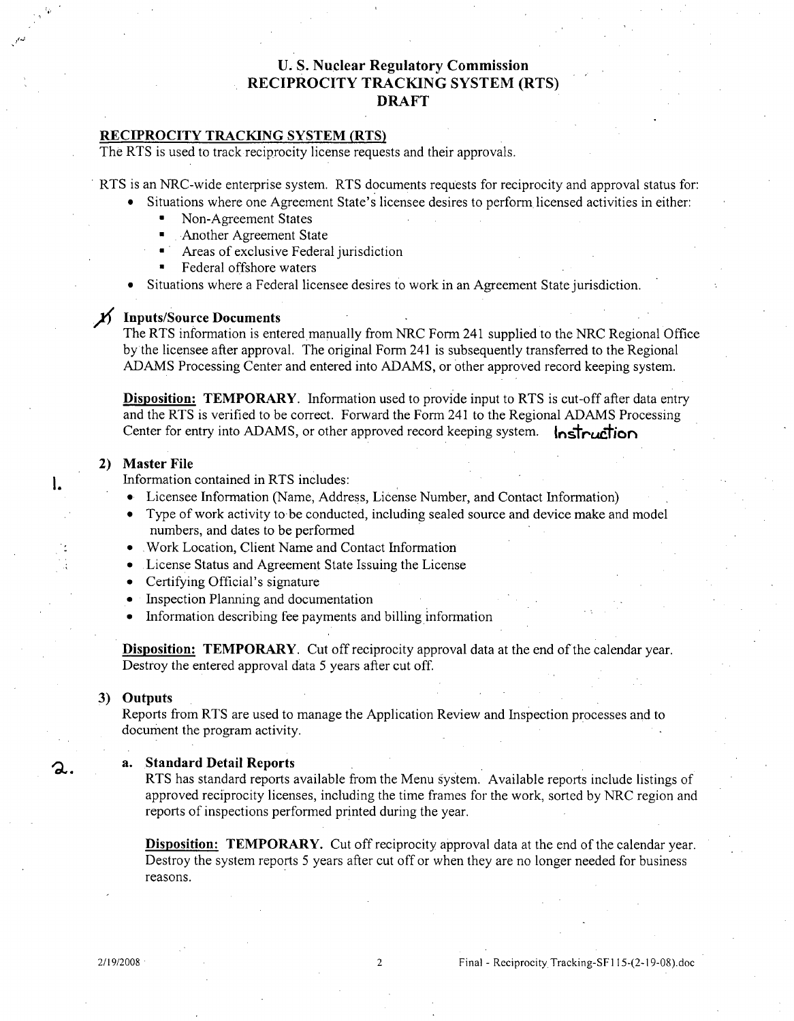# **U. S.** Nuclear Regulatory Commission RECIPROCITY TRACKING SYSTEM (RTS) DRAFT

## RECIPROCITY TRACKING SYSTEM (RTS)

The RTS is used to track reciprocity license requests and their approvals.

RTS is an NRC-wide enterprise system. RTS documents requests for reciprocity and approval status for:

- Situations where one Agreement State's licensee desires to perform licensed activities in either:
	- Non-Agreement States
	- -Another Agreement State
	- Areas of exclusive Federal jurisdiction
	- Federal offshore waters
- Situations where a Federal licensee desires to work in an Agreement State jurisdiction.

# $\cancel{1}$  Inputs/Source Documents

The RTS information is entered manually from NRC Form 241 supplied to the NRC Regional Office by the licensee after approval. The original Form 241 is subsequently transferred to the Regional ADAMS Processing Center and entered into ADAMS, or other approved record keeping system.

Disposition: TEMPORARY. Information used to provide input to RTS is cut-off after data entry and the RTS is verified to be correct. Forward the Form 241 to the Regional ADAMS Processing Center for entry into ADAMS, or other approved record keeping system.  $\ln \frac{1}{\ln \ln n}$ 

#### 2) Master File

l.

2.

Information contained in RTS includes:

- \* Licensee Information (Name, Address, License Number, and Contact Information)
- Type of work activity to be conducted, including sealed source and device make and model numbers, and dates to be performed
- \* Work Location, Client Name and Contact Information
- **0** License Status and Agreement State Issuing the License
- Certifying Official's signature
- **Inspection Planning and documentation**
- **9** Information describing fee payments and billing information

Disposition: TEMPORARY. Cut off reciprocity approval data at the end of the calendar year. Destroy the entered approval data 5 years after cut off.

#### 3) Outputs

Reports from RTS are used to manage the Application Review and Inspection processes and to document the program activity.

#### a. Standard Detail Reports

RTS has standard reports available from the Menu system. Available reports include listings of approved reciprocity licenses, including the time frames for the work, sorted by NRC region and reports of inspections performed printed during the year.

Disposition: TEMPORARY. Cut off reciprocity approval data at the end of the calendar year. Destroy the system reports 5 years after cut off or when they are no longer needed for business reasons.